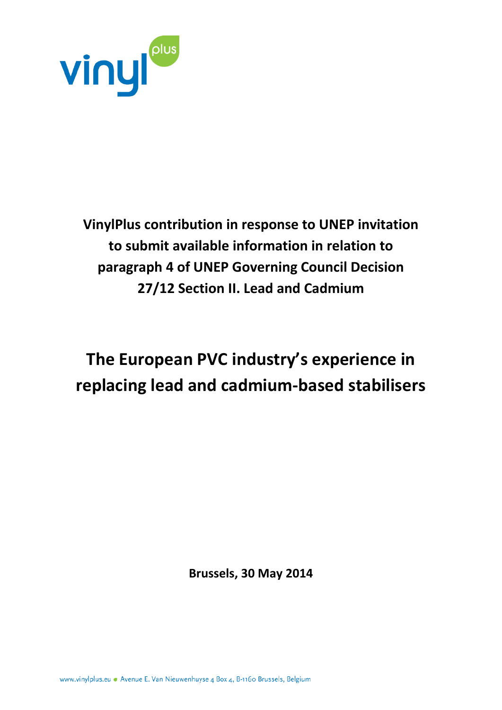

**VinylPlus contribution in response to UNEP invitation to submit available information in relation to paragraph 4 of UNEP Governing Council Decision 27/12 Section II. Lead and Cadmium** 

# **The European PVC industry's experience in replacing lead and cadmium-based stabilisers**

**Brussels, 30 May 2014**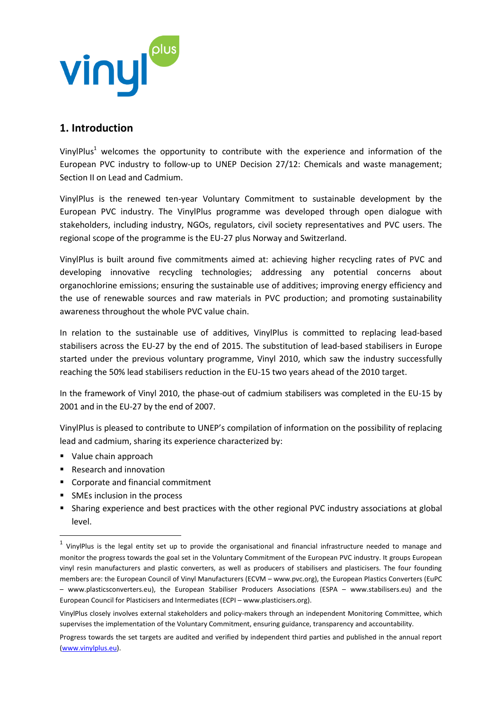

### **1. Introduction**

VinylPlus<sup>1</sup> welcomes the opportunity to contribute with the experience and information of the European PVC industry to follow-up to UNEP Decision 27/12: Chemicals and waste management; Section II on Lead and Cadmium.

VinylPlus is the renewed ten-year Voluntary Commitment to sustainable development by the European PVC industry. The VinylPlus programme was developed through open dialogue with stakeholders, including industry, NGOs, regulators, civil society representatives and PVC users. The regional scope of the programme is the EU-27 plus Norway and Switzerland.

VinylPlus is built around five commitments aimed at: achieving higher recycling rates of PVC and developing innovative recycling technologies; addressing any potential concerns about organochlorine emissions; ensuring the sustainable use of additives; improving energy efficiency and the use of renewable sources and raw materials in PVC production; and promoting sustainability awareness throughout the whole PVC value chain.

In relation to the sustainable use of additives, VinylPlus is committed to replacing lead-based stabilisers across the EU-27 by the end of 2015. The substitution of lead-based stabilisers in Europe started under the previous voluntary programme, Vinyl 2010, which saw the industry successfully reaching the 50% lead stabilisers reduction in the EU-15 two years ahead of the 2010 target.

In the framework of Vinyl 2010, the phase-out of cadmium stabilisers was completed in the EU-15 by 2001 and in the EU-27 by the end of 2007.

VinylPlus is pleased to contribute to UNEP's compilation of information on the possibility of replacing lead and cadmium, sharing its experience characterized by:

Value chain approach

 $\overline{\phantom{a}}$ 

- Research and innovation
- Corporate and financial commitment
- SMEs inclusion in the process
- Sharing experience and best practices with the other regional PVC industry associations at global level.

 $<sup>1</sup>$  VinylPlus is the legal entity set up to provide the organisational and financial infrastructure needed to manage and</sup> monitor the progress towards the goal set in the Voluntary Commitment of the European PVC industry. It groups European vinyl resin manufacturers and plastic converters, as well as producers of stabilisers and plasticisers. The four founding members are: the European Council of Vinyl Manufacturers (ECVM – www.pvc.org), the European Plastics Converters (EuPC – www.plasticsconverters.eu), the European Stabiliser Producers Associations (ESPA – www.stabilisers.eu) and the European Council for Plasticisers and Intermediates (ECPI – www.plasticisers.org).

VinylPlus closely involves external stakeholders and policy-makers through an independent Monitoring Committee, which supervises the implementation of the Voluntary Commitment, ensuring guidance, transparency and accountability.

Progress towards the set targets are audited and verified by independent third parties and published in the annual report [\(www.vinylplus.eu\)](http://www.vinylplus.eu/).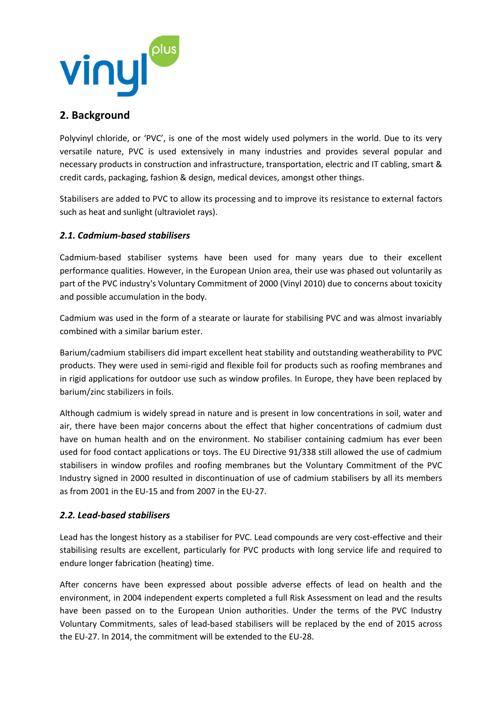

## **2. Background**

Polyvinyl chloride, or 'PVC', is one of the most widely used polymers in the world. Due to its very versatile nature, PVC is used extensively in many industries and provides several popular and necessary products in construction and infrastructure, transportation, electric and IT cabling, smart & credit cards, packaging, fashion & design, medical devices, amongst other things.

Stabilisers are added to PVC to allow its processing and to improve its resistance to external factors such as heat and sunlight (ultraviolet rays).

#### *2.1. Cadmium-based stabilisers*

Cadmium-based stabiliser systems have been used for many years due to their excellent performance qualities. However, in the European Union area, their use was phased out voluntarily as part of the PVC industry's Voluntary Commitment of 2000 (Vinyl 2010) due to concerns about toxicity and possible accumulation in the body.

Cadmium was used in the form of a stearate or laurate for stabilising PVC and was almost invariably combined with a similar barium ester.

Barium/cadmium stabilisers did impart excellent heat stability and outstanding weatherability to PVC products. They were used in semi-rigid and flexible foil for products such as roofing membranes and in rigid applications for outdoor use such as window profiles. In Europe, they have been replaced by barium/zinc stabilizers in foils.

Although cadmium is widely spread in nature and is present in low concentrations in soil, water and air, there have been major concerns about the effect that higher concentrations of cadmium dust have on human health and on the environment. No stabiliser containing cadmium has ever been used for food contact applications or toys. The EU Directive 91/338 still allowed the use of cadmium stabilisers in window profiles and roofing membranes but the Voluntary Commitment of the PVC Industry signed in 2000 resulted in discontinuation of use of cadmium stabilisers by all its members as from 2001 in the EU-15 and from 2007 in the EU-27.

#### *2.2. Lead-based stabilisers*

Lead has the longest history as a stabiliser for PVC. Lead compounds are very cost-effective and their stabilising results are excellent, particularly for PVC products with long service life and required to endure longer fabrication (heating) time.

After concerns have been expressed about possible adverse effects of lead on health and the environment, in 2004 independent experts completed a full Risk Assessment on lead and the results have been passed on to the European Union authorities. Under the terms of the PVC Industry Voluntary Commitments, sales of lead-based stabilisers will be replaced by the end of 2015 across the EU-27. In 2014, the commitment will be extended to the EU-28.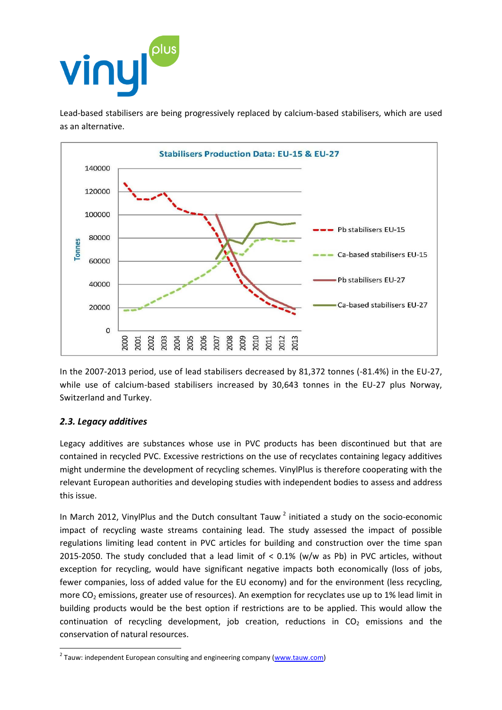

Lead-based stabilisers are being progressively replaced by calcium-based stabilisers, which are used as an alternative.



In the 2007-2013 period, use of lead stabilisers decreased by 81,372 tonnes (-81.4%) in the EU-27, while use of calcium-based stabilisers increased by 30,643 tonnes in the EU-27 plus Norway, Switzerland and Turkey.

#### *2.3. Legacy additives*

 $\overline{\phantom{a}}$ 

Legacy additives are substances whose use in PVC products has been discontinued but that are contained in recycled PVC. Excessive restrictions on the use of recyclates containing legacy additives might undermine the development of recycling schemes. VinylPlus is therefore cooperating with the relevant European authorities and developing studies with independent bodies to assess and address this issue.

In March 2012, VinylPlus and the Dutch consultant Tauw<sup>2</sup> initiated a study on the socio-economic impact of recycling waste streams containing lead. The study assessed the impact of possible regulations limiting lead content in PVC articles for building and construction over the time span 2015-2050. The study concluded that a lead limit of < 0.1% (w/w as Pb) in PVC articles, without exception for recycling, would have significant negative impacts both economically (loss of jobs, fewer companies, loss of added value for the EU economy) and for the environment (less recycling, more  $CO<sub>2</sub>$  emissions, greater use of resources). An exemption for recyclates use up to 1% lead limit in building products would be the best option if restrictions are to be applied. This would allow the continuation of recycling development, job creation, reductions in  $CO<sub>2</sub>$  emissions and the conservation of natural resources.

<sup>&</sup>lt;sup>2</sup> Tauw: independent European consulting and engineering company (<u>www.tauw.com</u>)